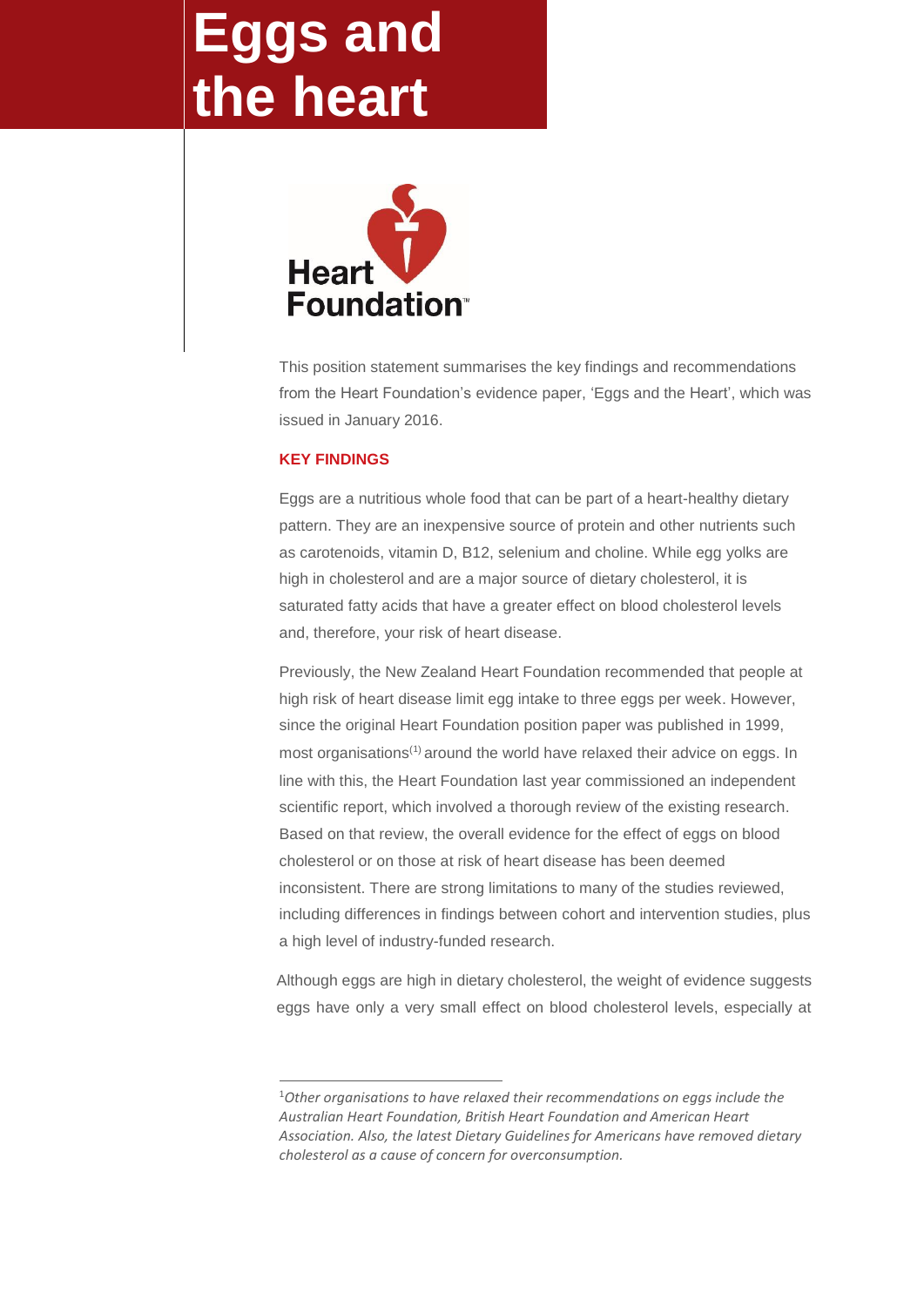## **Eggs and the heart**



This position statement summarises the key findings and recommendations from the Heart Foundation's evidence paper, 'Eggs and the Heart', which was issued in January 2016.

## **KEY FINDINGS**

1

Eggs are a nutritious whole food that can be part of a heart-healthy dietary pattern. They are an inexpensive source of protein and other nutrients such as carotenoids, vitamin D, B12, selenium and choline. While egg yolks are high in cholesterol and are a major source of dietary cholesterol, it is saturated fatty acids that have a greater effect on blood cholesterol levels and, therefore, your risk of heart disease.

Previously, the New Zealand Heart Foundation recommended that people at high risk of heart disease limit egg intake to three eggs per week. However, since the original Heart Foundation position paper was published in 1999, most organisations<sup>(1)</sup> around the world have relaxed their advice on eggs. In line with this, the Heart Foundation last year commissioned an independent scientific report, which involved a thorough review of the existing research. Based on that review, the overall evidence for the effect of eggs on blood cholesterol or on those at risk of heart disease has been deemed inconsistent. There are strong limitations to many of the studies reviewed, including differences in findings between cohort and intervention studies, plus a high level of industry-funded research.

Although eggs are high in dietary cholesterol, the weight of evidence suggests eggs have only a very small effect on blood cholesterol levels, especially at

<sup>1</sup>*Other organisations to have relaxed their recommendations on eggs include the Australian Heart Foundation, British Heart Foundation and American Heart Association. Also, the latest Dietary Guidelines for Americans have removed dietary cholesterol as a cause of concern for overconsumption.*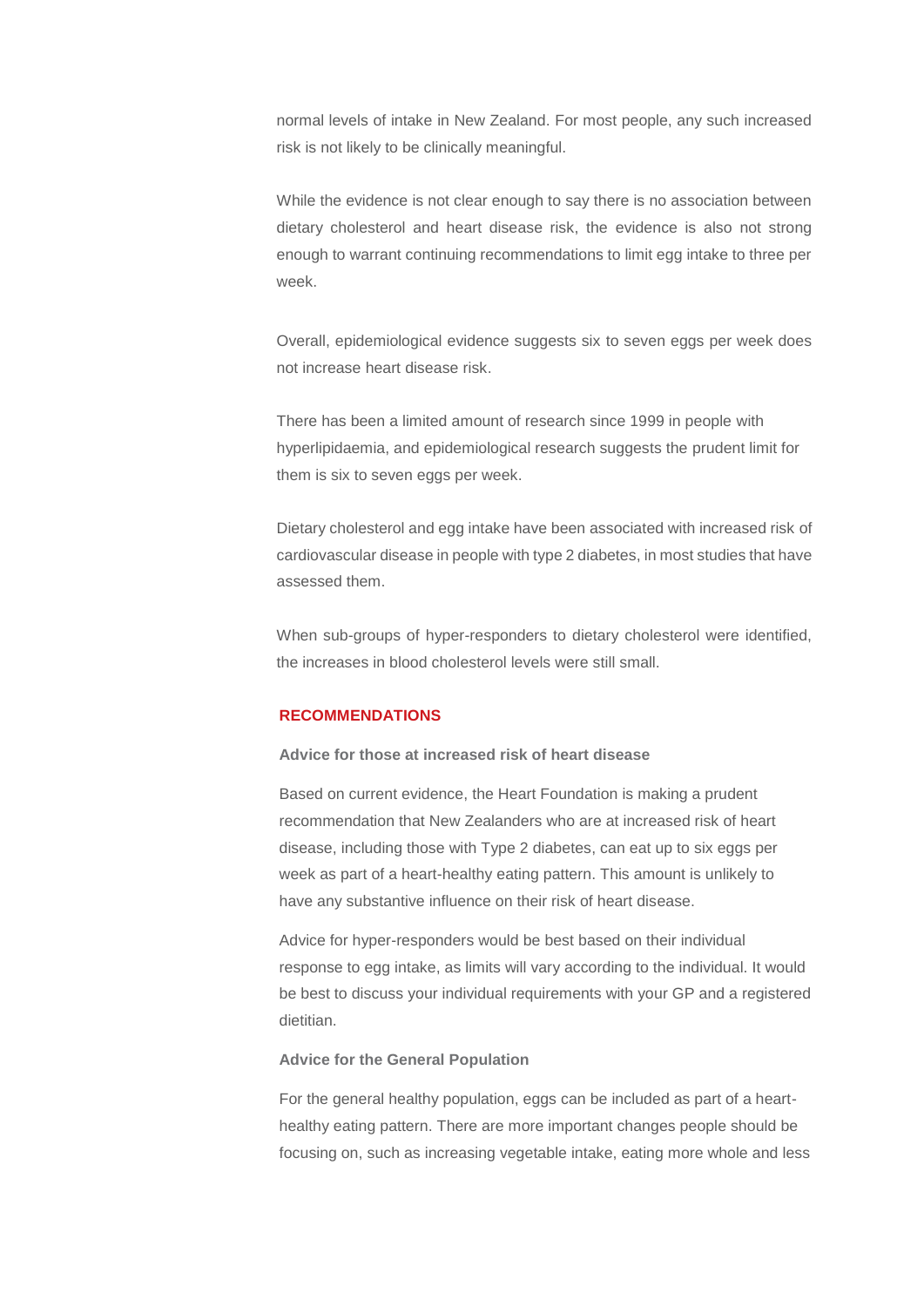normal levels of intake in New Zealand. For most people, any such increased risk is not likely to be clinically meaningful.

While the evidence is not clear enough to say there is no association between dietary cholesterol and heart disease risk, the evidence is also not strong enough to warrant continuing recommendations to limit egg intake to three per week.

Overall, epidemiological evidence suggests six to seven eggs per week does not increase heart disease risk.

There has been a limited amount of research since 1999 in people with hyperlipidaemia, and epidemiological research suggests the prudent limit for them is six to seven eggs per week.

Dietary cholesterol and egg intake have been associated with increased risk of cardiovascular disease in people with type 2 diabetes, in most studies that have assessed them.

When sub-groups of hyper-responders to dietary cholesterol were identified, the increases in blood cholesterol levels were still small.

## **RECOMMENDATIONS**

**Advice for those at increased risk of heart disease**

Based on current evidence, the Heart Foundation is making a prudent recommendation that New Zealanders who are at increased risk of heart disease, including those with Type 2 diabetes, can eat up to six eggs per week as part of a heart-healthy eating pattern. This amount is unlikely to have any substantive influence on their risk of heart disease.

Advice for hyper-responders would be best based on their individual response to egg intake, as limits will vary according to the individual. It would be best to discuss your individual requirements with your GP and a registered dietitian.

**Advice for the General Population**

For the general healthy population, eggs can be included as part of a hearthealthy eating pattern. There are more important changes people should be focusing on, such as increasing vegetable intake, eating more whole and less